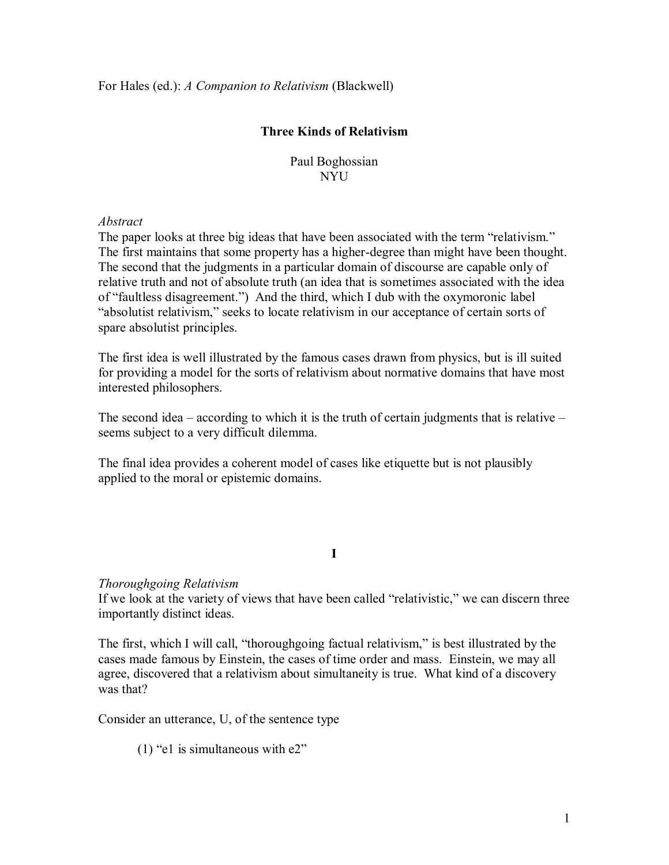For Hales (ed.): *A Companion to Relativism* (Blackwell)

#### **Three Kinds of Relativism**

Paul Boghossian **NYU** 

#### *Abstract*

The paper looks at three big ideas that have been associated with the term "relativism." The first maintains that some property has a higher-degree than might have been thought. The second that the judgments in a particular domain of discourse are capable only of relative truth and not of absolute truth (an idea that is sometimes associated with the idea of "faultless disagreement.") And the third, which I dub with the oxymoronic label "absolutist relativism," seeks to locate relativism in our acceptance of certain sorts of spare absolutist principles.

The first idea is well illustrated by the famous cases drawn from physics, but is ill suited for providing a model for the sorts of relativism about normative domains that have most interested philosophers.

The second idea – according to which it is the truth of certain judgments that is relative – seems subject to a very difficult dilemma.

The final idea provides a coherent model of cases like etiquette but is not plausibly applied to the moral or epistemic domains.

**I**

#### *Thoroughgoing Relativism*

If we look at the variety of views that have been called "relativistic," we can discern three importantly distinct ideas.

The first, which I will call, "thoroughgoing factual relativism," is best illustrated by the cases made famous by Einstein, the cases of time order and mass. Einstein, we may all agree, discovered that a relativism about simultaneity is true. What kind of a discovery was that?

Consider an utterance, U, of the sentence type

(1) "e1 is simultaneous with e2"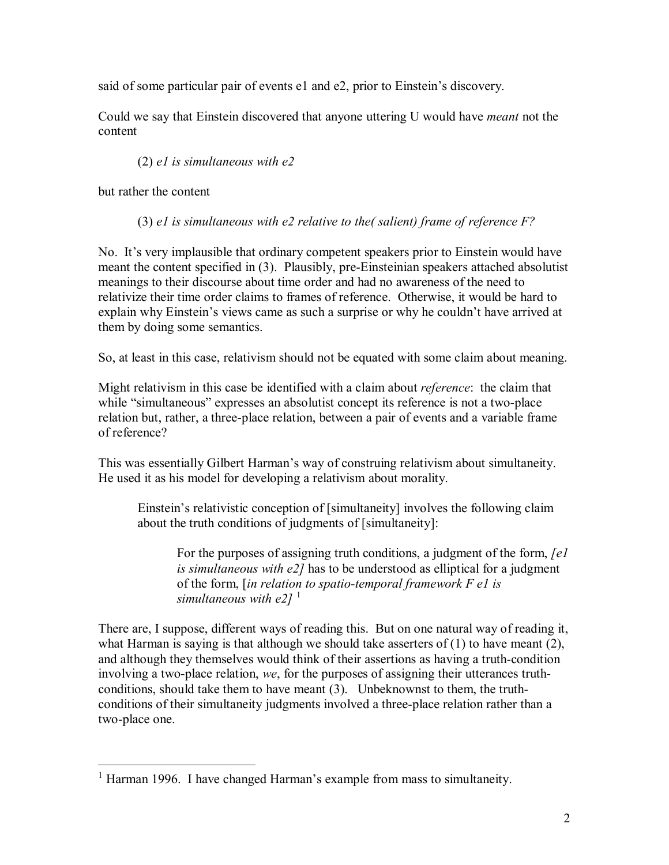said of some particular pair of events e1 and e2, prior to Einstein's discovery.

Could we say that Einstein discovered that anyone uttering U would have *meant* not the content

(2) *e1 is simultaneous with e2*

but rather the content

(3) *e1 is simultaneous with e2 relative to the( salient) frame of reference F?*

No. It's very implausible that ordinary competent speakers prior to Einstein would have meant the content specified in (3). Plausibly, pre-Einsteinian speakers attached absolutist meanings to their discourse about time order and had no awareness of the need to relativize their time order claims to frames of reference. Otherwise, it would be hard to explain why Einstein's views came as such a surprise or why he couldn't have arrived at them by doing some semantics.

So, at least in this case, relativism should not be equated with some claim about meaning.

Might relativism in this case be identified with a claim about *reference*: the claim that while "simultaneous" expresses an absolutist concept its reference is not a two-place relation but, rather, a three-place relation, between a pair of events and a variable frame of reference?

This was essentially Gilbert Harman's way of construing relativism about simultaneity. He used it as his model for developing a relativism about morality.

Einstein's relativistic conception of [simultaneity] involves the following claim about the truth conditions of judgments of [simultaneity]:

For the purposes of assigning truth conditions, a judgment of the form, *[e1 is simultaneous with e2]* has to be understood as elliptical for a judgment of the form, [*in relation to spatio-temporal framework F e1 is simultaneous with e2]*  $<sup>1</sup>$  $<sup>1</sup>$  $<sup>1</sup>$ </sup>

There are, I suppose, different ways of reading this. But on one natural way of reading it, what Harman is saying is that although we should take asserters of  $(1)$  to have meant  $(2)$ , and although they themselves would think of their assertions as having a truth-condition involving a two-place relation, *we*, for the purposes of assigning their utterances truthconditions, should take them to have meant (3). Unbeknownst to them, the truthconditions of their simultaneity judgments involved a three-place relation rather than a two-place one.

<span id="page-1-0"></span><sup>&</sup>lt;sup>1</sup> Harman 1996. I have changed Harman's example from mass to simultaneity.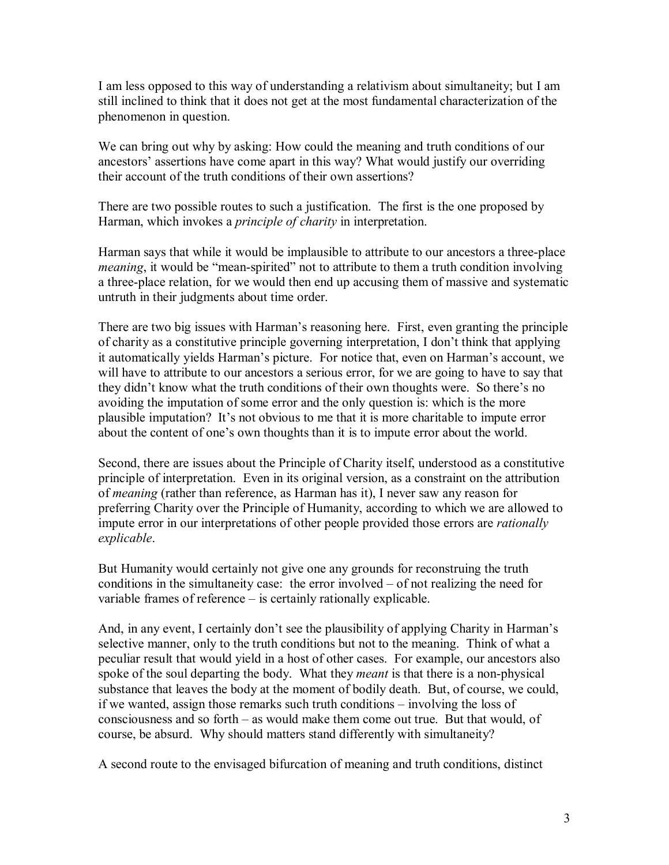I am less opposed to this way of understanding a relativism about simultaneity; but I am still inclined to think that it does not get at the most fundamental characterization of the phenomenon in question.

We can bring out why by asking: How could the meaning and truth conditions of our ancestors' assertions have come apart in this way? What would justify our overriding their account of the truth conditions of their own assertions?

There are two possible routes to such a justification. The first is the one proposed by Harman, which invokes a *principle of charity* in interpretation.

Harman says that while it would be implausible to attribute to our ancestors a three-place *meaning*, it would be "mean-spirited" not to attribute to them a truth condition involving a three-place relation, for we would then end up accusing them of massive and systematic untruth in their judgments about time order.

There are two big issues with Harman's reasoning here. First, even granting the principle of charity as a constitutive principle governing interpretation, I don't think that applying it automatically yields Harman's picture. For notice that, even on Harman's account, we will have to attribute to our ancestors a serious error, for we are going to have to say that they didn't know what the truth conditions of their own thoughts were. So there's no avoiding the imputation of some error and the only question is: which is the more plausible imputation? It's not obvious to me that it is more charitable to impute error about the content of one's own thoughts than it is to impute error about the world.

Second, there are issues about the Principle of Charity itself, understood as a constitutive principle of interpretation. Even in its original version, as a constraint on the attribution of *meaning* (rather than reference, as Harman has it), I never saw any reason for preferring Charity over the Principle of Humanity, according to which we are allowed to impute error in our interpretations of other people provided those errors are *rationally explicable*.

But Humanity would certainly not give one any grounds for reconstruing the truth conditions in the simultaneity case: the error involved – of not realizing the need for variable frames of reference – is certainly rationally explicable.

And, in any event, I certainly don't see the plausibility of applying Charity in Harman's selective manner, only to the truth conditions but not to the meaning. Think of what a peculiar result that would yield in a host of other cases. For example, our ancestors also spoke of the soul departing the body. What they *meant* is that there is a non-physical substance that leaves the body at the moment of bodily death. But, of course, we could, if we wanted, assign those remarks such truth conditions – involving the loss of consciousness and so forth – as would make them come out true. But that would, of course, be absurd. Why should matters stand differently with simultaneity?

A second route to the envisaged bifurcation of meaning and truth conditions, distinct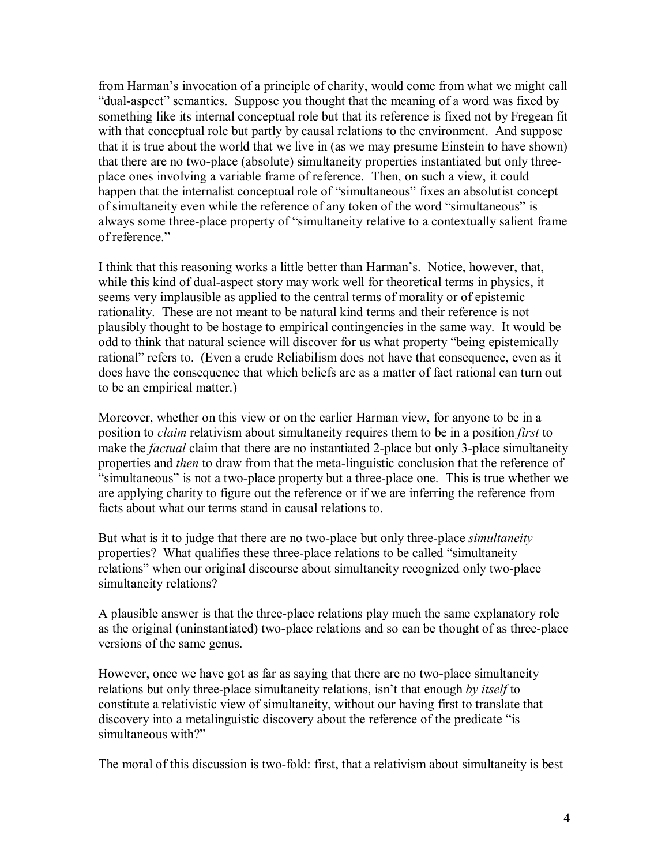from Harman's invocation of a principle of charity, would come from what we might call "dual-aspect" semantics. Suppose you thought that the meaning of a word was fixed by something like its internal conceptual role but that its reference is fixed not by Fregean fit with that conceptual role but partly by causal relations to the environment. And suppose that it is true about the world that we live in (as we may presume Einstein to have shown) that there are no two-place (absolute) simultaneity properties instantiated but only threeplace ones involving a variable frame of reference. Then, on such a view, it could happen that the internalist conceptual role of "simultaneous" fixes an absolutist concept of simultaneity even while the reference of any token of the word "simultaneous" is always some three-place property of "simultaneity relative to a contextually salient frame of reference."

I think that this reasoning works a little better than Harman's. Notice, however, that, while this kind of dual-aspect story may work well for theoretical terms in physics, it seems very implausible as applied to the central terms of morality or of epistemic rationality. These are not meant to be natural kind terms and their reference is not plausibly thought to be hostage to empirical contingencies in the same way. It would be odd to think that natural science will discover for us what property "being epistemically rational" refers to. (Even a crude Reliabilism does not have that consequence, even as it does have the consequence that which beliefs are as a matter of fact rational can turn out to be an empirical matter.)

Moreover, whether on this view or on the earlier Harman view, for anyone to be in a position to *claim* relativism about simultaneity requires them to be in a position *first* to make the *factual* claim that there are no instantiated 2-place but only 3-place simultaneity properties and *then* to draw from that the meta-linguistic conclusion that the reference of "simultaneous" is not a two-place property but a three-place one. This is true whether we are applying charity to figure out the reference or if we are inferring the reference from facts about what our terms stand in causal relations to.

But what is it to judge that there are no two-place but only three-place *simultaneity* properties? What qualifies these three-place relations to be called "simultaneity relations" when our original discourse about simultaneity recognized only two-place simultaneity relations?

A plausible answer is that the three-place relations play much the same explanatory role as the original (uninstantiated) two-place relations and so can be thought of as three-place versions of the same genus.

However, once we have got as far as saying that there are no two-place simultaneity relations but only three-place simultaneity relations, isn't that enough *by itself* to constitute a relativistic view of simultaneity, without our having first to translate that discovery into a metalinguistic discovery about the reference of the predicate "is simultaneous with?"

The moral of this discussion is two-fold: first, that a relativism about simultaneity is best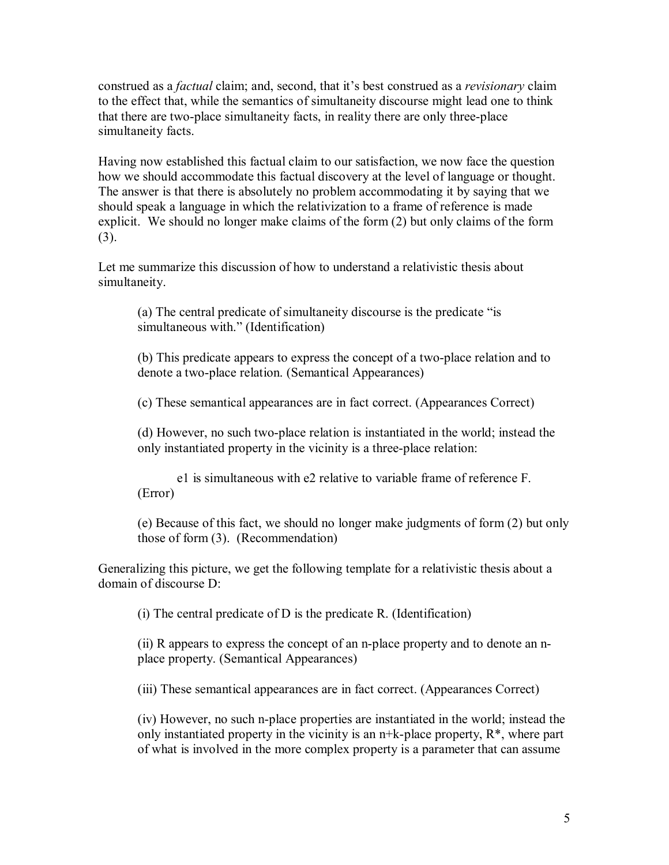construed as a *factual* claim; and, second, that it's best construed as a *revisionary* claim to the effect that, while the semantics of simultaneity discourse might lead one to think that there are two-place simultaneity facts, in reality there are only three-place simultaneity facts.

Having now established this factual claim to our satisfaction, we now face the question how we should accommodate this factual discovery at the level of language or thought. The answer is that there is absolutely no problem accommodating it by saying that we should speak a language in which the relativization to a frame of reference is made explicit. We should no longer make claims of the form (2) but only claims of the form (3).

Let me summarize this discussion of how to understand a relativistic thesis about simultaneity.

(a) The central predicate of simultaneity discourse is the predicate "is simultaneous with." (Identification)

(b) This predicate appears to express the concept of a two-place relation and to denote a two-place relation. (Semantical Appearances)

(c) These semantical appearances are in fact correct. (Appearances Correct)

(d) However, no such two-place relation is instantiated in the world; instead the only instantiated property in the vicinity is a three-place relation:

e1 is simultaneous with e2 relative to variable frame of reference F. (Error)

(e) Because of this fact, we should no longer make judgments of form (2) but only those of form (3). (Recommendation)

Generalizing this picture, we get the following template for a relativistic thesis about a domain of discourse D:

(i) The central predicate of D is the predicate R. (Identification)

(ii) R appears to express the concept of an n-place property and to denote an nplace property. (Semantical Appearances)

(iii) These semantical appearances are in fact correct. (Appearances Correct)

(iv) However, no such n-place properties are instantiated in the world; instead the only instantiated property in the vicinity is an  $n+k$ -place property,  $R^*$ , where part of what is involved in the more complex property is a parameter that can assume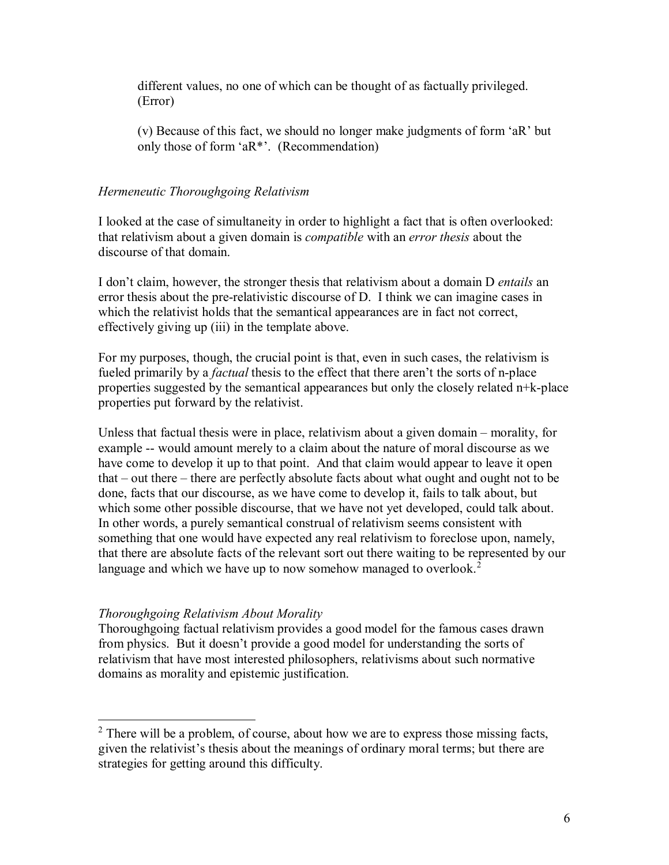different values, no one of which can be thought of as factually privileged. (Error)

(v) Because of this fact, we should no longer make judgments of form 'aR' but only those of form 'aR\*'. (Recommendation)

# *Hermeneutic Thoroughgoing Relativism*

I looked at the case of simultaneity in order to highlight a fact that is often overlooked: that relativism about a given domain is *compatible* with an *error thesis* about the discourse of that domain.

I don't claim, however, the stronger thesis that relativism about a domain D *entails* an error thesis about the pre-relativistic discourse of D. I think we can imagine cases in which the relativist holds that the semantical appearances are in fact not correct, effectively giving up (iii) in the template above.

For my purposes, though, the crucial point is that, even in such cases, the relativism is fueled primarily by a *factual* thesis to the effect that there aren't the sorts of n-place properties suggested by the semantical appearances but only the closely related n+k-place properties put forward by the relativist.

Unless that factual thesis were in place, relativism about a given domain – morality, for example -- would amount merely to a claim about the nature of moral discourse as we have come to develop it up to that point. And that claim would appear to leave it open that – out there – there are perfectly absolute facts about what ought and ought not to be done, facts that our discourse, as we have come to develop it, fails to talk about, but which some other possible discourse, that we have not yet developed, could talk about. In other words, a purely semantical construal of relativism seems consistent with something that one would have expected any real relativism to foreclose upon, namely, that there are absolute facts of the relevant sort out there waiting to be represented by our language and which we have up to now somehow managed to overlook.<sup>[2](#page-5-0)</sup>

# *Thoroughgoing Relativism About Morality*

Thoroughgoing factual relativism provides a good model for the famous cases drawn from physics. But it doesn't provide a good model for understanding the sorts of relativism that have most interested philosophers, relativisms about such normative domains as morality and epistemic justification.

<span id="page-5-0"></span> $2^2$  There will be a problem, of course, about how we are to express those missing facts, given the relativist's thesis about the meanings of ordinary moral terms; but there are strategies for getting around this difficulty.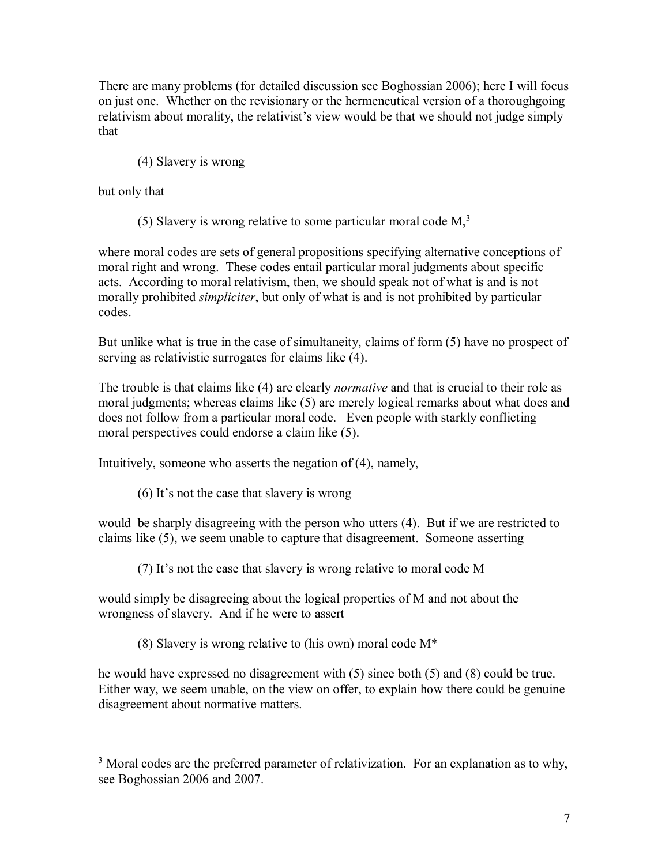There are many problems (for detailed discussion see Boghossian 2006); here I will focus on just one. Whether on the revisionary or the hermeneutical version of a thoroughgoing relativism about morality, the relativist's view would be that we should not judge simply that

(4) Slavery is wrong

but only that

(5) Slavery is wrong relative to some particular moral code  $M<sub>1</sub><sup>3</sup>$  $M<sub>1</sub><sup>3</sup>$  $M<sub>1</sub><sup>3</sup>$ 

where moral codes are sets of general propositions specifying alternative conceptions of moral right and wrong. These codes entail particular moral judgments about specific acts. According to moral relativism, then, we should speak not of what is and is not morally prohibited *simpliciter*, but only of what is and is not prohibited by particular codes.

But unlike what is true in the case of simultaneity, claims of form (5) have no prospect of serving as relativistic surrogates for claims like (4).

The trouble is that claims like (4) are clearly *normative* and that is crucial to their role as moral judgments; whereas claims like (5) are merely logical remarks about what does and does not follow from a particular moral code. Even people with starkly conflicting moral perspectives could endorse a claim like (5).

Intuitively, someone who asserts the negation of (4), namely,

(6) It's not the case that slavery is wrong

would be sharply disagreeing with the person who utters (4). But if we are restricted to claims like (5), we seem unable to capture that disagreement. Someone asserting

(7) It's not the case that slavery is wrong relative to moral code M

would simply be disagreeing about the logical properties of M and not about the wrongness of slavery. And if he were to assert

(8) Slavery is wrong relative to (his own) moral code M\*

he would have expressed no disagreement with (5) since both (5) and (8) could be true. Either way, we seem unable, on the view on offer, to explain how there could be genuine disagreement about normative matters.

<span id="page-6-0"></span> $3$  Moral codes are the preferred parameter of relativization. For an explanation as to why, see Boghossian 2006 and 2007.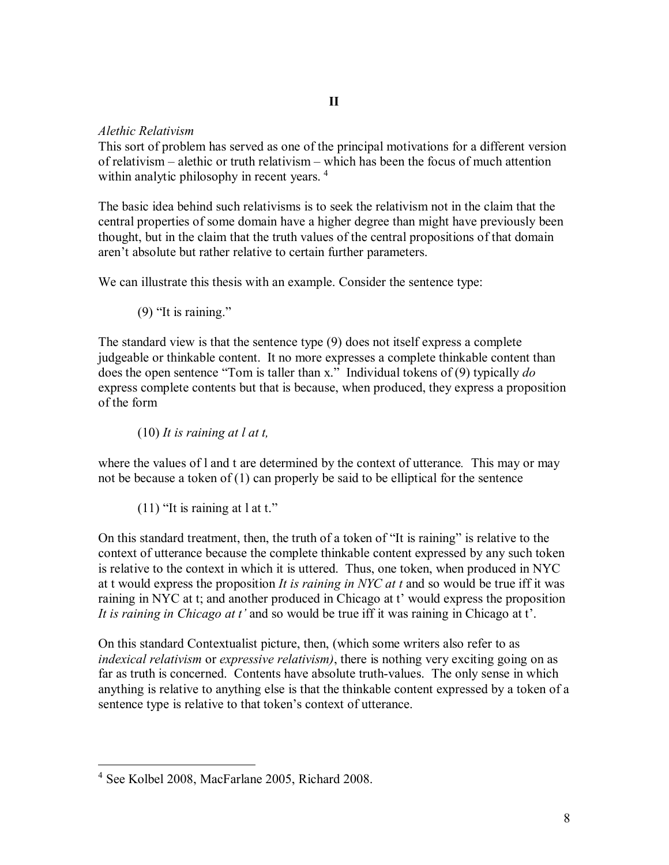# **II**

#### *Alethic Relativism*

This sort of problem has served as one of the principal motivations for a different version of relativism – alethic or truth relativism – which has been the focus of much attention within analytic philosophy in recent years.<sup>[4](#page-7-0)</sup>

The basic idea behind such relativisms is to seek the relativism not in the claim that the central properties of some domain have a higher degree than might have previously been thought, but in the claim that the truth values of the central propositions of that domain aren't absolute but rather relative to certain further parameters.

We can illustrate this thesis with an example. Consider the sentence type:

 $(9)$  "It is raining."

The standard view is that the sentence type (9) does not itself express a complete judgeable or thinkable content. It no more expresses a complete thinkable content than does the open sentence "Tom is taller than x." Individual tokens of (9) typically *do* express complete contents but that is because, when produced, they express a proposition of the form

(10) *It is raining at l at t,* 

where the values of l and t are determined by the context of utterance*.* This may or may not be because a token of (1) can properly be said to be elliptical for the sentence

 $(11)$  "It is raining at 1 at t."

On this standard treatment, then, the truth of a token of "It is raining" is relative to the context of utterance because the complete thinkable content expressed by any such token is relative to the context in which it is uttered. Thus, one token, when produced in NYC at t would express the proposition *It is raining in NYC at t* and so would be true iff it was raining in NYC at t; and another produced in Chicago at t' would express the proposition *It is raining in Chicago at t'* and so would be true iff it was raining in Chicago at t'.

On this standard Contextualist picture, then, (which some writers also refer to as *indexical relativism* or *expressive relativism)*, there is nothing very exciting going on as far as truth is concerned. Contents have absolute truth-values. The only sense in which anything is relative to anything else is that the thinkable content expressed by a token of a sentence type is relative to that token's context of utterance.

<span id="page-7-0"></span> <sup>4</sup> See Kolbel 2008, MacFarlane 2005, Richard 2008.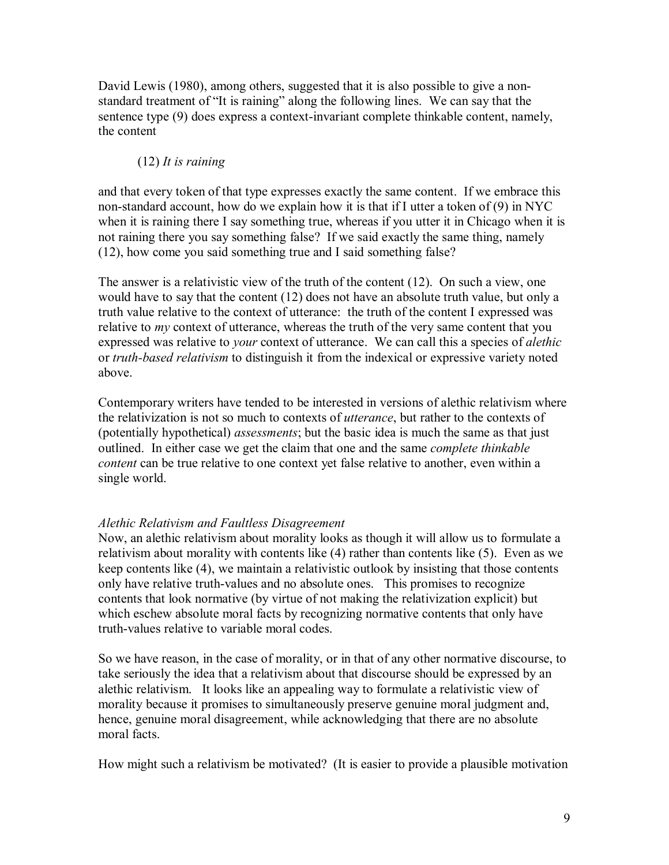David Lewis (1980), among others, suggested that it is also possible to give a nonstandard treatment of "It is raining" along the following lines. We can say that the sentence type (9) does express a context-invariant complete thinkable content, namely, the content

# (12) *It is raining*

and that every token of that type expresses exactly the same content. If we embrace this non-standard account, how do we explain how it is that if I utter a token of (9) in NYC when it is raining there I say something true, whereas if you utter it in Chicago when it is not raining there you say something false? If we said exactly the same thing, namely (12), how come you said something true and I said something false?

The answer is a relativistic view of the truth of the content (12). On such a view, one would have to say that the content (12) does not have an absolute truth value, but only a truth value relative to the context of utterance: the truth of the content I expressed was relative to *my* context of utterance, whereas the truth of the very same content that you expressed was relative to *your* context of utterance. We can call this a species of *alethic*  or *truth-based relativism* to distinguish it from the indexical or expressive variety noted above.

Contemporary writers have tended to be interested in versions of alethic relativism where the relativization is not so much to contexts of *utterance*, but rather to the contexts of (potentially hypothetical) *assessments*; but the basic idea is much the same as that just outlined. In either case we get the claim that one and the same *complete thinkable content* can be true relative to one context yet false relative to another, even within a single world.

# *Alethic Relativism and Faultless Disagreement*

Now, an alethic relativism about morality looks as though it will allow us to formulate a relativism about morality with contents like (4) rather than contents like (5). Even as we keep contents like (4), we maintain a relativistic outlook by insisting that those contents only have relative truth-values and no absolute ones. This promises to recognize contents that look normative (by virtue of not making the relativization explicit) but which eschew absolute moral facts by recognizing normative contents that only have truth-values relative to variable moral codes.

So we have reason, in the case of morality, or in that of any other normative discourse, to take seriously the idea that a relativism about that discourse should be expressed by an alethic relativism. It looks like an appealing way to formulate a relativistic view of morality because it promises to simultaneously preserve genuine moral judgment and, hence, genuine moral disagreement, while acknowledging that there are no absolute moral facts.

How might such a relativism be motivated? (It is easier to provide a plausible motivation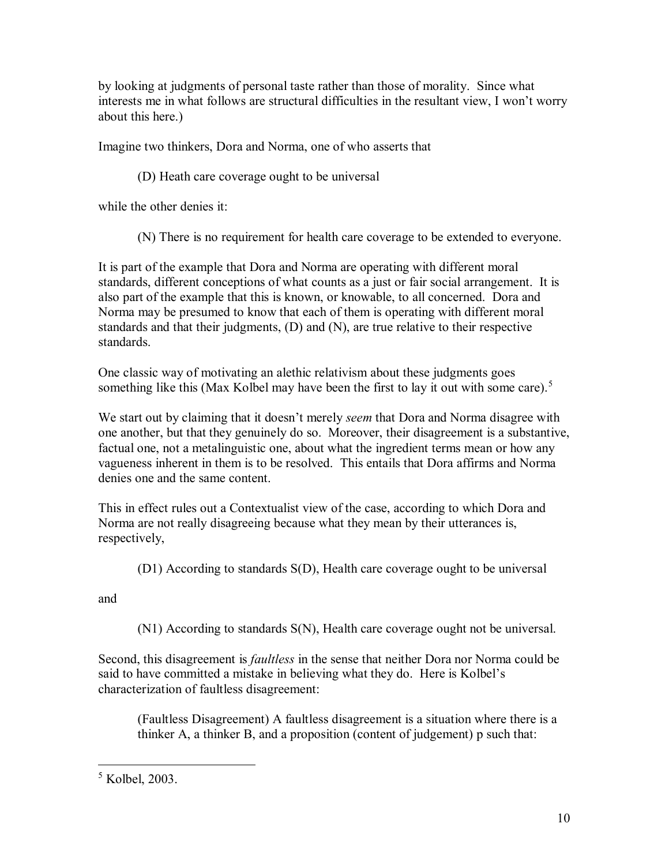by looking at judgments of personal taste rather than those of morality. Since what interests me in what follows are structural difficulties in the resultant view, I won't worry about this here.)

Imagine two thinkers, Dora and Norma, one of who asserts that

(D) Heath care coverage ought to be universal

while the other denies it:

(N) There is no requirement for health care coverage to be extended to everyone.

It is part of the example that Dora and Norma are operating with different moral standards, different conceptions of what counts as a just or fair social arrangement. It is also part of the example that this is known, or knowable, to all concerned. Dora and Norma may be presumed to know that each of them is operating with different moral standards and that their judgments, (D) and (N), are true relative to their respective standards.

One classic way of motivating an alethic relativism about these judgments goes something like this (Max Kolbel may have been the first to lay it out with some care).<sup>[5](#page-9-0)</sup>

We start out by claiming that it doesn't merely *seem* that Dora and Norma disagree with one another, but that they genuinely do so. Moreover, their disagreement is a substantive, factual one, not a metalinguistic one, about what the ingredient terms mean or how any vagueness inherent in them is to be resolved. This entails that Dora affirms and Norma denies one and the same content.

This in effect rules out a Contextualist view of the case, according to which Dora and Norma are not really disagreeing because what they mean by their utterances is, respectively,

(D1) According to standards S(D), Health care coverage ought to be universal

and

(N1) According to standards S(N), Health care coverage ought not be universal.

Second, this disagreement is *faultless* in the sense that neither Dora nor Norma could be said to have committed a mistake in believing what they do. Here is Kolbel's characterization of faultless disagreement:

(Faultless Disagreement) A faultless disagreement is a situation where there is a thinker A, a thinker B, and a proposition (content of judgement) p such that:

<span id="page-9-0"></span> <sup>5</sup> Kolbel, 2003.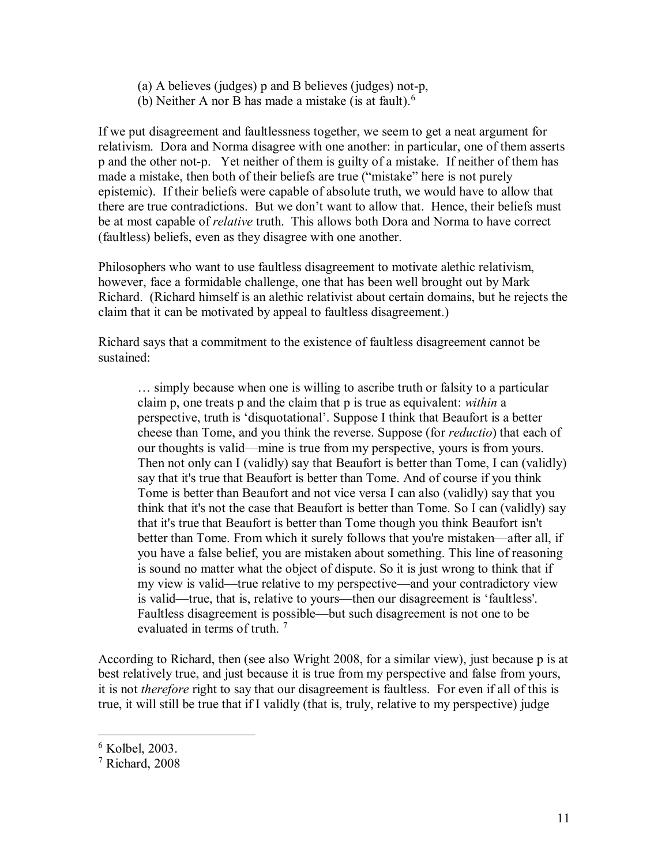- (a) A believes (judges) p and B believes (judges) not-p,
- (b) Neither A nor B has made a mistake (is at fault). $<sup>6</sup>$  $<sup>6</sup>$  $<sup>6</sup>$ </sup>

If we put disagreement and faultlessness together, we seem to get a neat argument for relativism. Dora and Norma disagree with one another: in particular, one of them asserts p and the other not-p. Yet neither of them is guilty of a mistake. If neither of them has made a mistake, then both of their beliefs are true ("mistake" here is not purely epistemic). If their beliefs were capable of absolute truth, we would have to allow that there are true contradictions. But we don't want to allow that. Hence, their beliefs must be at most capable of *relative* truth. This allows both Dora and Norma to have correct (faultless) beliefs, even as they disagree with one another.

Philosophers who want to use faultless disagreement to motivate alethic relativism, however, face a formidable challenge, one that has been well brought out by Mark Richard. (Richard himself is an alethic relativist about certain domains, but he rejects the claim that it can be motivated by appeal to faultless disagreement.)

Richard says that a commitment to the existence of faultless disagreement cannot be sustained:

… simply because when one is willing to ascribe truth or falsity to a particular claim p, one treats p and the claim that p is true as equivalent: *within* a perspective, truth is 'disquotational'. Suppose I think that Beaufort is a better cheese than Tome, and you think the reverse. Suppose (for *reductio*) that each of our thoughts is valid—mine is true from my perspective, yours is from yours. Then not only can I (validly) say that Beaufort is better than Tome, I can (validly) say that it's true that Beaufort is better than Tome. And of course if you think Tome is better than Beaufort and not vice versa I can also (validly) say that you think that it's not the case that Beaufort is better than Tome. So I can (validly) say that it's true that Beaufort is better than Tome though you think Beaufort isn't better than Tome. From which it surely follows that you're mistaken—after all, if you have a false belief, you are mistaken about something. This line of reasoning is sound no matter what the object of dispute. So it is just wrong to think that if my view is valid—true relative to my perspective—and your contradictory view is valid—true, that is, relative to yours—then our disagreement is 'faultless'. Faultless disagreement is possible—but such disagreement is not one to be evaluated in terms of truth.  $7$ 

According to Richard, then (see also Wright 2008, for a similar view), just because p is at best relatively true, and just because it is true from my perspective and false from yours, it is not *therefore* right to say that our disagreement is faultless. For even if all of this is true, it will still be true that if I validly (that is, truly, relative to my perspective) judge

<span id="page-10-0"></span> $6$  Kolbel, 2003.

<span id="page-10-1"></span><sup>7</sup> Richard, 2008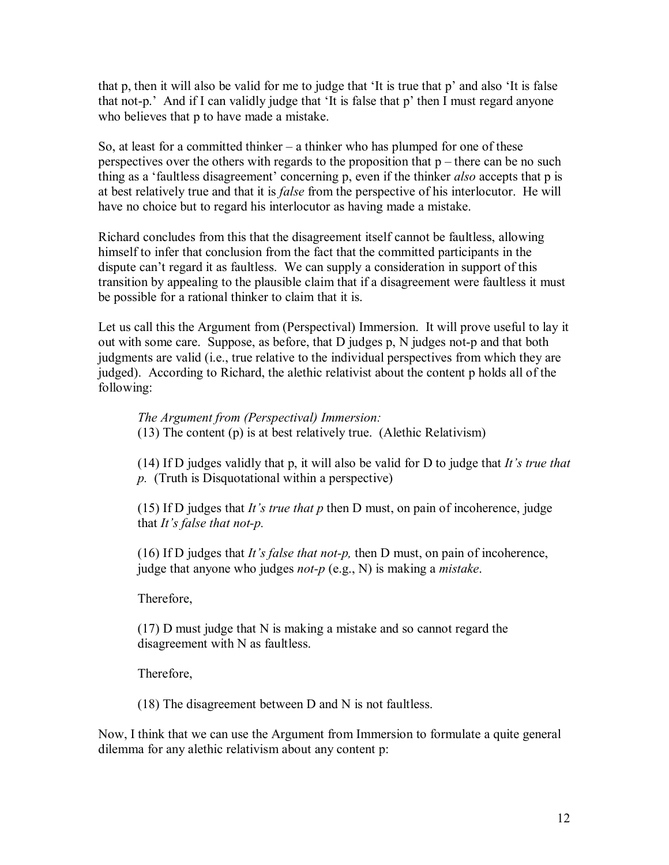that p, then it will also be valid for me to judge that 'It is true that p' and also 'It is false that not-p.' And if I can validly judge that 'It is false that p' then I must regard anyone who believes that p to have made a mistake.

So, at least for a committed thinker  $-$  a thinker who has plumped for one of these perspectives over the others with regards to the proposition that  $p$  – there can be no such thing as a 'faultless disagreement' concerning p, even if the thinker *also* accepts that p is at best relatively true and that it is *false* from the perspective of his interlocutor. He will have no choice but to regard his interlocutor as having made a mistake.

Richard concludes from this that the disagreement itself cannot be faultless, allowing himself to infer that conclusion from the fact that the committed participants in the dispute can't regard it as faultless. We can supply a consideration in support of this transition by appealing to the plausible claim that if a disagreement were faultless it must be possible for a rational thinker to claim that it is.

Let us call this the Argument from (Perspectival) Immersion. It will prove useful to lay it out with some care. Suppose, as before, that D judges p, N judges not-p and that both judgments are valid (i.e., true relative to the individual perspectives from which they are judged). According to Richard, the alethic relativist about the content p holds all of the following:

*The Argument from (Perspectival) Immersion:* (13) The content (p) is at best relatively true. (Alethic Relativism)

(14) If D judges validly that p, it will also be valid for D to judge that *It's true that p.* (Truth is Disquotational within a perspective)

(15) If D judges that *It's true that p* then D must, on pain of incoherence, judge that *It's false that not-p.* 

(16) If D judges that *It's false that not-p,* then D must, on pain of incoherence, judge that anyone who judges *not-p* (e.g., N) is making a *mistake*.

Therefore,

(17) D must judge that N is making a mistake and so cannot regard the disagreement with N as faultless.

Therefore,

(18) The disagreement between D and N is not faultless.

Now, I think that we can use the Argument from Immersion to formulate a quite general dilemma for any alethic relativism about any content p: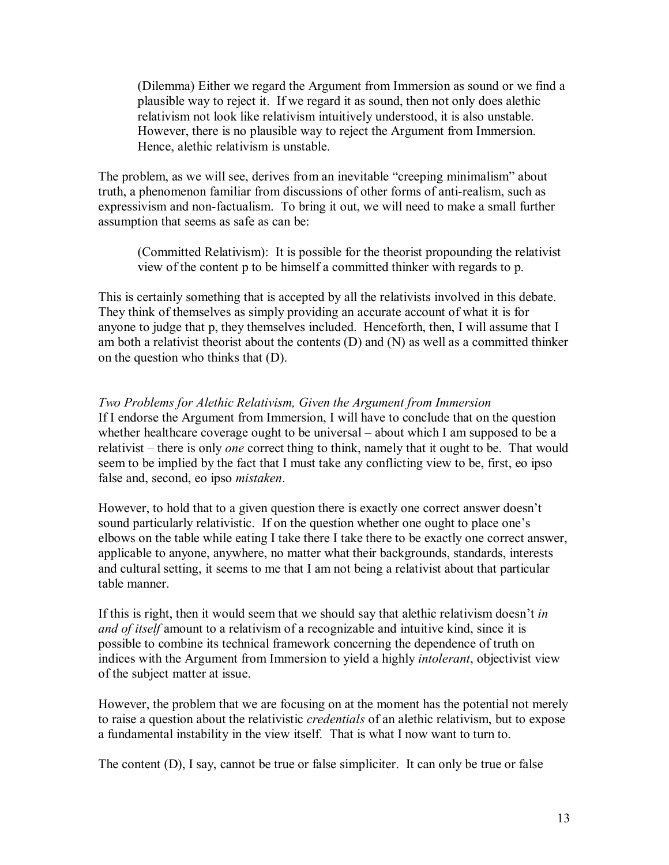(Dilemma) Either we regard the Argument from Immersion as sound or we find a plausible way to reject it. If we regard it as sound, then not only does alethic relativism not look like relativism intuitively understood, it is also unstable. However, there is no plausible way to reject the Argument from Immersion. Hence, alethic relativism is unstable.

The problem, as we will see, derives from an inevitable "creeping minimalism" about truth, a phenomenon familiar from discussions of other forms of anti-realism, such as expressivism and non-factualism. To bring it out, we will need to make a small further assumption that seems as safe as can be:

(Committed Relativism): It is possible for the theorist propounding the relativist view of the content p to be himself a committed thinker with regards to p.

This is certainly something that is accepted by all the relativists involved in this debate. They think of themselves as simply providing an accurate account of what it is for anyone to judge that p, they themselves included. Henceforth, then, I will assume that I am both a relativist theorist about the contents (D) and (N) as well as a committed thinker on the question who thinks that (D).

*Two Problems for Alethic Relativism, Given the Argument from Immersion* If I endorse the Argument from Immersion, I will have to conclude that on the question whether healthcare coverage ought to be universal – about which I am supposed to be a relativist – there is only *one* correct thing to think, namely that it ought to be. That would seem to be implied by the fact that I must take any conflicting view to be, first, eo ipso false and, second, eo ipso *mistaken*.

However, to hold that to a given question there is exactly one correct answer doesn't sound particularly relativistic. If on the question whether one ought to place one's elbows on the table while eating I take there I take there to be exactly one correct answer, applicable to anyone, anywhere, no matter what their backgrounds, standards, interests and cultural setting, it seems to me that I am not being a relativist about that particular table manner.

If this is right, then it would seem that we should say that alethic relativism doesn't *in and of itself* amount to a relativism of a recognizable and intuitive kind, since it is possible to combine its technical framework concerning the dependence of truth on indices with the Argument from Immersion to yield a highly *intolerant*, objectivist view of the subject matter at issue.

However, the problem that we are focusing on at the moment has the potential not merely to raise a question about the relativistic *credentials* of an alethic relativism, but to expose a fundamental instability in the view itself. That is what I now want to turn to.

The content (D), I say, cannot be true or false simpliciter. It can only be true or false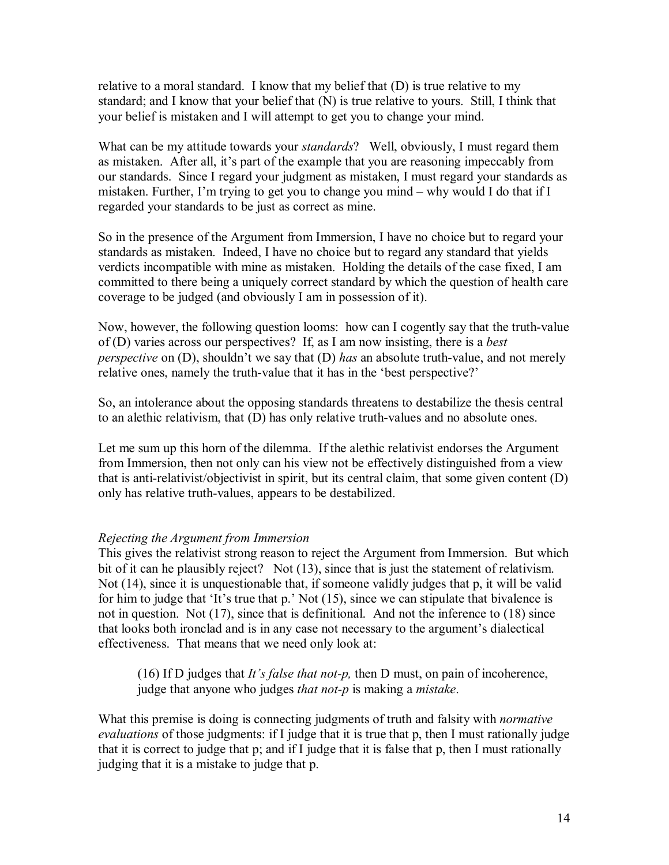relative to a moral standard. I know that my belief that (D) is true relative to my standard; and I know that your belief that (N) is true relative to yours. Still, I think that your belief is mistaken and I will attempt to get you to change your mind.

What can be my attitude towards your *standards*? Well, obviously, I must regard them as mistaken. After all, it's part of the example that you are reasoning impeccably from our standards. Since I regard your judgment as mistaken, I must regard your standards as mistaken. Further, I'm trying to get you to change you mind – why would I do that if I regarded your standards to be just as correct as mine.

So in the presence of the Argument from Immersion, I have no choice but to regard your standards as mistaken. Indeed, I have no choice but to regard any standard that yields verdicts incompatible with mine as mistaken. Holding the details of the case fixed, I am committed to there being a uniquely correct standard by which the question of health care coverage to be judged (and obviously I am in possession of it).

Now, however, the following question looms: how can I cogently say that the truth-value of (D) varies across our perspectives? If, as I am now insisting, there is a *best perspective* on (D), shouldn't we say that (D) *has* an absolute truth-value, and not merely relative ones, namely the truth-value that it has in the 'best perspective?'

So, an intolerance about the opposing standards threatens to destabilize the thesis central to an alethic relativism, that (D) has only relative truth-values and no absolute ones.

Let me sum up this horn of the dilemma. If the alethic relativist endorses the Argument from Immersion, then not only can his view not be effectively distinguished from a view that is anti-relativist/objectivist in spirit, but its central claim, that some given content (D) only has relative truth-values, appears to be destabilized.

#### *Rejecting the Argument from Immersion*

This gives the relativist strong reason to reject the Argument from Immersion. But which bit of it can he plausibly reject? Not (13), since that is just the statement of relativism. Not (14), since it is unquestionable that, if someone validly judges that p, it will be valid for him to judge that 'It's true that p.' Not (15), since we can stipulate that bivalence is not in question. Not (17), since that is definitional. And not the inference to (18) since that looks both ironclad and is in any case not necessary to the argument's dialectical effectiveness. That means that we need only look at:

(16) If D judges that *It's false that not-p,* then D must, on pain of incoherence, judge that anyone who judges *that not-p* is making a *mistake*.

What this premise is doing is connecting judgments of truth and falsity with *normative evaluations* of those judgments: if I judge that it is true that p, then I must rationally judge that it is correct to judge that p; and if I judge that it is false that p, then I must rationally judging that it is a mistake to judge that p.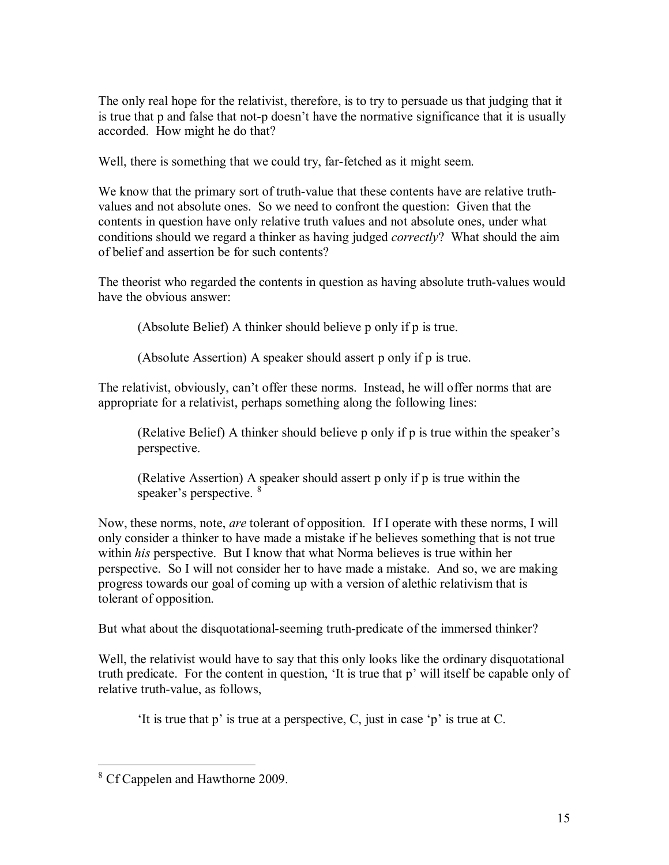The only real hope for the relativist, therefore, is to try to persuade us that judging that it is true that p and false that not-p doesn't have the normative significance that it is usually accorded. How might he do that?

Well, there is something that we could try, far-fetched as it might seem.

We know that the primary sort of truth-value that these contents have are relative truthvalues and not absolute ones. So we need to confront the question: Given that the contents in question have only relative truth values and not absolute ones, under what conditions should we regard a thinker as having judged *correctly*? What should the aim of belief and assertion be for such contents?

The theorist who regarded the contents in question as having absolute truth-values would have the obvious answer:

(Absolute Belief) A thinker should believe p only if p is true.

(Absolute Assertion) A speaker should assert p only if p is true.

The relativist, obviously, can't offer these norms. Instead, he will offer norms that are appropriate for a relativist, perhaps something along the following lines:

(Relative Belief) A thinker should believe p only if p is true within the speaker's perspective.

(Relative Assertion) A speaker should assert p only if p is true within the speaker's perspective. <sup>[8](#page-14-0)</sup>

Now, these norms, note, *are* tolerant of opposition. If I operate with these norms, I will only consider a thinker to have made a mistake if he believes something that is not true within *his* perspective. But I know that what Norma believes is true within her perspective. So I will not consider her to have made a mistake. And so, we are making progress towards our goal of coming up with a version of alethic relativism that is tolerant of opposition.

But what about the disquotational-seeming truth-predicate of the immersed thinker?

Well, the relativist would have to say that this only looks like the ordinary disquotational truth predicate. For the content in question, 'It is true that p' will itself be capable only of relative truth-value, as follows,

'It is true that p' is true at a perspective, C, just in case 'p' is true at C.

<span id="page-14-0"></span><sup>&</sup>lt;sup>8</sup> Cf Cappelen and Hawthorne 2009.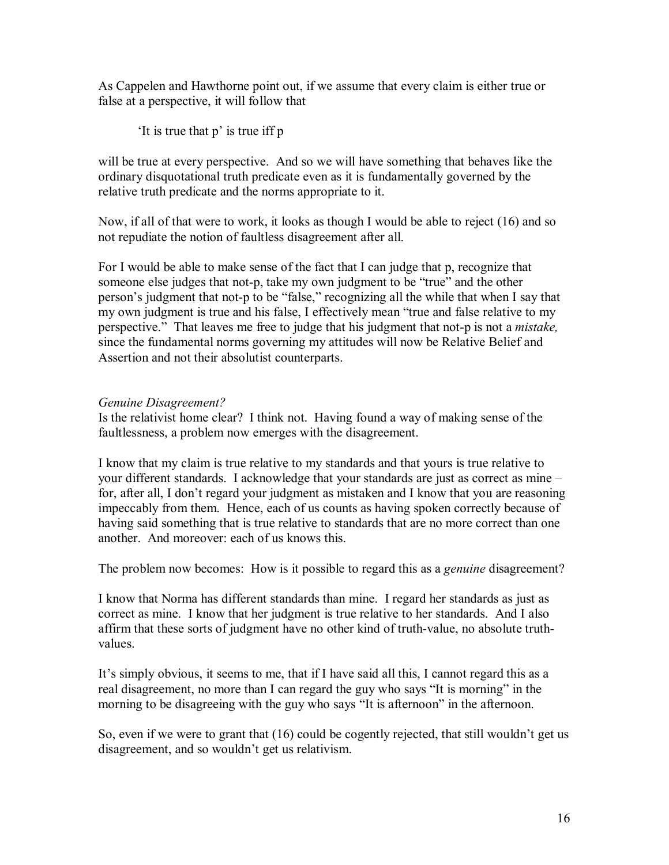As Cappelen and Hawthorne point out, if we assume that every claim is either true or false at a perspective, it will follow that

'It is true that p' is true iff p

will be true at every perspective. And so we will have something that behaves like the ordinary disquotational truth predicate even as it is fundamentally governed by the relative truth predicate and the norms appropriate to it.

Now, if all of that were to work, it looks as though I would be able to reject (16) and so not repudiate the notion of faultless disagreement after all.

For I would be able to make sense of the fact that I can judge that p, recognize that someone else judges that not-p, take my own judgment to be "true" and the other person's judgment that not-p to be "false," recognizing all the while that when I say that my own judgment is true and his false, I effectively mean "true and false relative to my perspective." That leaves me free to judge that his judgment that not-p is not a *mistake,*  since the fundamental norms governing my attitudes will now be Relative Belief and Assertion and not their absolutist counterparts.

#### *Genuine Disagreement?*

Is the relativist home clear? I think not. Having found a way of making sense of the faultlessness, a problem now emerges with the disagreement.

I know that my claim is true relative to my standards and that yours is true relative to your different standards. I acknowledge that your standards are just as correct as mine – for, after all, I don't regard your judgment as mistaken and I know that you are reasoning impeccably from them. Hence, each of us counts as having spoken correctly because of having said something that is true relative to standards that are no more correct than one another. And moreover: each of us knows this.

The problem now becomes: How is it possible to regard this as a *genuine* disagreement?

I know that Norma has different standards than mine. I regard her standards as just as correct as mine. I know that her judgment is true relative to her standards. And I also affirm that these sorts of judgment have no other kind of truth-value, no absolute truthvalues.

It's simply obvious, it seems to me, that if I have said all this, I cannot regard this as a real disagreement, no more than I can regard the guy who says "It is morning" in the morning to be disagreeing with the guy who says "It is afternoon" in the afternoon.

So, even if we were to grant that (16) could be cogently rejected, that still wouldn't get us disagreement, and so wouldn't get us relativism.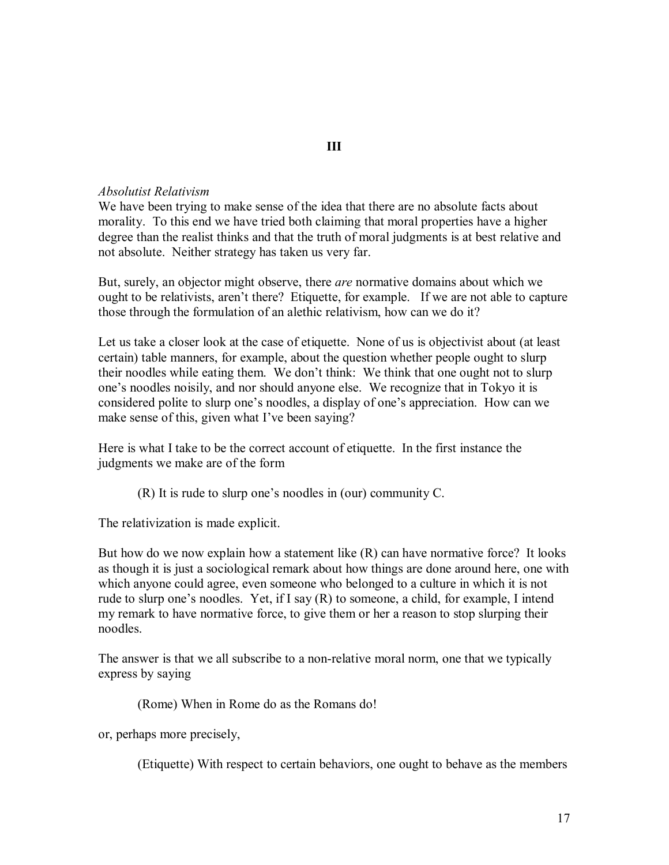#### *Absolutist Relativism*

We have been trying to make sense of the idea that there are no absolute facts about morality. To this end we have tried both claiming that moral properties have a higher degree than the realist thinks and that the truth of moral judgments is at best relative and not absolute. Neither strategy has taken us very far.

But, surely, an objector might observe, there *are* normative domains about which we ought to be relativists, aren't there? Etiquette, for example. If we are not able to capture those through the formulation of an alethic relativism, how can we do it?

Let us take a closer look at the case of etiquette. None of us is objectivist about (at least certain) table manners, for example, about the question whether people ought to slurp their noodles while eating them. We don't think: We think that one ought not to slurp one's noodles noisily, and nor should anyone else. We recognize that in Tokyo it is considered polite to slurp one's noodles, a display of one's appreciation. How can we make sense of this, given what I've been saying?

Here is what I take to be the correct account of etiquette. In the first instance the judgments we make are of the form

(R) It is rude to slurp one's noodles in (our) community C.

The relativization is made explicit.

But how do we now explain how a statement like  $(R)$  can have normative force? It looks as though it is just a sociological remark about how things are done around here, one with which anyone could agree, even someone who belonged to a culture in which it is not rude to slurp one's noodles. Yet, if I say  $(R)$  to someone, a child, for example, I intend my remark to have normative force, to give them or her a reason to stop slurping their noodles.

The answer is that we all subscribe to a non-relative moral norm, one that we typically express by saying

(Rome) When in Rome do as the Romans do!

or, perhaps more precisely,

(Etiquette) With respect to certain behaviors, one ought to behave as the members

### **III**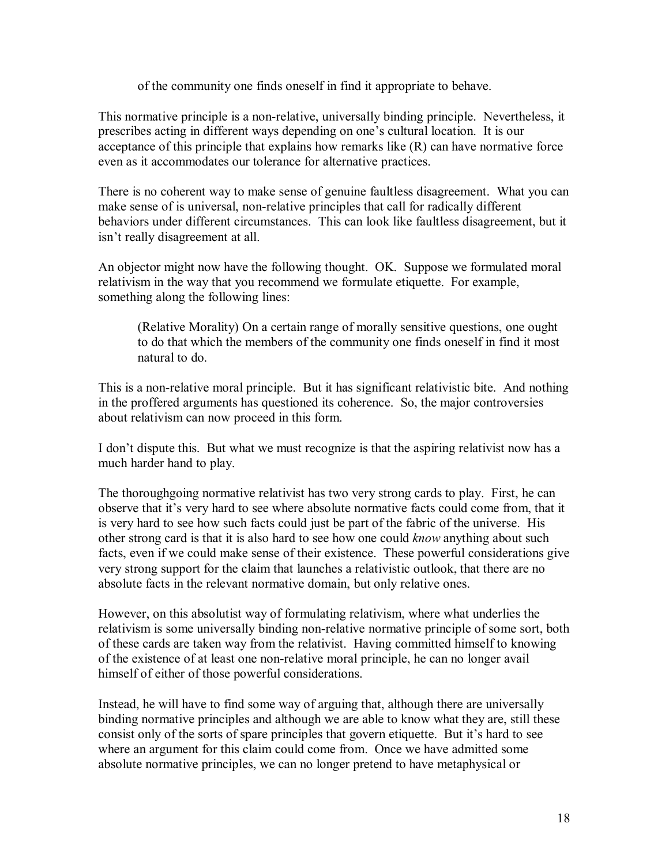of the community one finds oneself in find it appropriate to behave.

This normative principle is a non-relative, universally binding principle. Nevertheless, it prescribes acting in different ways depending on one's cultural location. It is our acceptance of this principle that explains how remarks like (R) can have normative force even as it accommodates our tolerance for alternative practices.

There is no coherent way to make sense of genuine faultless disagreement. What you can make sense of is universal, non-relative principles that call for radically different behaviors under different circumstances. This can look like faultless disagreement, but it isn't really disagreement at all.

An objector might now have the following thought. OK. Suppose we formulated moral relativism in the way that you recommend we formulate etiquette. For example, something along the following lines:

(Relative Morality) On a certain range of morally sensitive questions, one ought to do that which the members of the community one finds oneself in find it most natural to do.

This is a non-relative moral principle. But it has significant relativistic bite. And nothing in the proffered arguments has questioned its coherence. So, the major controversies about relativism can now proceed in this form.

I don't dispute this. But what we must recognize is that the aspiring relativist now has a much harder hand to play.

The thoroughgoing normative relativist has two very strong cards to play. First, he can observe that it's very hard to see where absolute normative facts could come from, that it is very hard to see how such facts could just be part of the fabric of the universe. His other strong card is that it is also hard to see how one could *know* anything about such facts, even if we could make sense of their existence. These powerful considerations give very strong support for the claim that launches a relativistic outlook, that there are no absolute facts in the relevant normative domain, but only relative ones.

However, on this absolutist way of formulating relativism, where what underlies the relativism is some universally binding non-relative normative principle of some sort, both of these cards are taken way from the relativist. Having committed himself to knowing of the existence of at least one non-relative moral principle, he can no longer avail himself of either of those powerful considerations.

Instead, he will have to find some way of arguing that, although there are universally binding normative principles and although we are able to know what they are, still these consist only of the sorts of spare principles that govern etiquette. But it's hard to see where an argument for this claim could come from. Once we have admitted some absolute normative principles, we can no longer pretend to have metaphysical or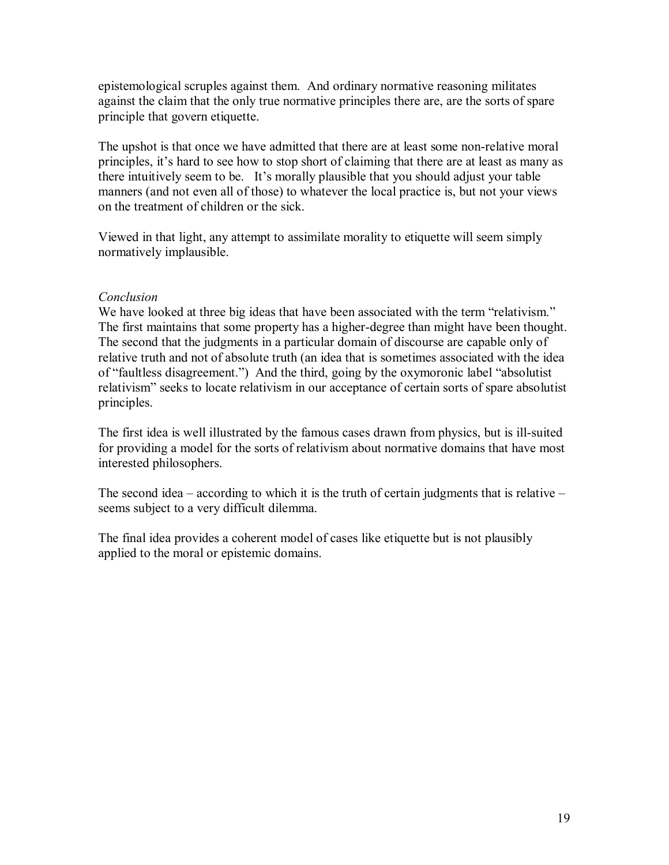epistemological scruples against them. And ordinary normative reasoning militates against the claim that the only true normative principles there are, are the sorts of spare principle that govern etiquette.

The upshot is that once we have admitted that there are at least some non-relative moral principles, it's hard to see how to stop short of claiming that there are at least as many as there intuitively seem to be. It's morally plausible that you should adjust your table manners (and not even all of those) to whatever the local practice is, but not your views on the treatment of children or the sick.

Viewed in that light, any attempt to assimilate morality to etiquette will seem simply normatively implausible.

# *Conclusion*

We have looked at three big ideas that have been associated with the term "relativism." The first maintains that some property has a higher-degree than might have been thought. The second that the judgments in a particular domain of discourse are capable only of relative truth and not of absolute truth (an idea that is sometimes associated with the idea of "faultless disagreement.") And the third, going by the oxymoronic label "absolutist relativism" seeks to locate relativism in our acceptance of certain sorts of spare absolutist principles.

The first idea is well illustrated by the famous cases drawn from physics, but is ill-suited for providing a model for the sorts of relativism about normative domains that have most interested philosophers.

The second idea – according to which it is the truth of certain judgments that is relative – seems subject to a very difficult dilemma.

The final idea provides a coherent model of cases like etiquette but is not plausibly applied to the moral or epistemic domains.